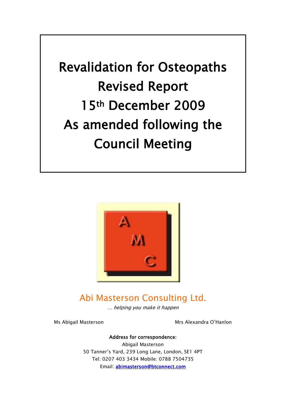Revalidation for Osteopaths Revised Report 15th December 2009 As amended following the Council Meeting



# Abi Masterson Consulting Ltd.

… helping you make it happen

Ms Abigail Masterson Mrs Alexandra O'Hanlon

#### Address for correspondence:

Abigail Masterson 50 Tanner"s Yard, 239 Long Lane, London, SE1 4PT Tel: 0207 403 3434 Mobile: 0788 7504735 Email: [abimasterson@btconnect.com](mailto:abimasterson@btconnect.com)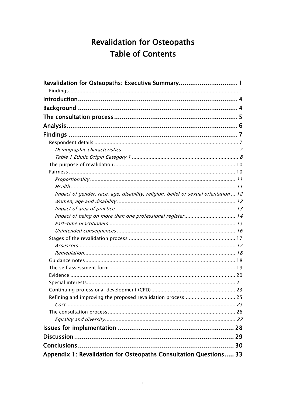# **Revalidation for Osteopaths Table of Contents**

| Impact of gender, race, age, disability, religion, belief or sexual orientation  12 |  |
|-------------------------------------------------------------------------------------|--|
|                                                                                     |  |
|                                                                                     |  |
| Impact of being on more than one professional register 14                           |  |
|                                                                                     |  |
|                                                                                     |  |
|                                                                                     |  |
|                                                                                     |  |
|                                                                                     |  |
|                                                                                     |  |
|                                                                                     |  |
|                                                                                     |  |
|                                                                                     |  |
|                                                                                     |  |
| Refining and improving the proposed revalidation process  25                        |  |
|                                                                                     |  |
|                                                                                     |  |
|                                                                                     |  |
|                                                                                     |  |
|                                                                                     |  |
|                                                                                     |  |
| Appendix 1: Revalidation for Osteopaths Consultation Questions 33                   |  |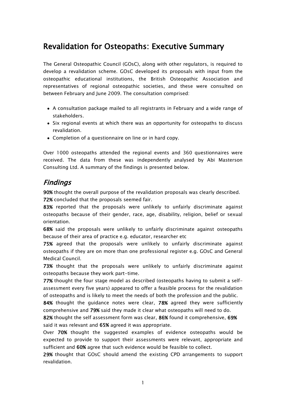## <span id="page-2-0"></span>Revalidation for Osteopaths: Executive Summary

The General Osteopathic Council (GOsC), along with other regulators, is required to develop a revalidation scheme. GOsC developed its proposals with input from the osteopathic educational institutions, the British Osteopathic Association and representatives of regional osteopathic societies, and these were consulted on between February and June 2009. The consultation comprised:

- A consultation package mailed to all registrants in February and a wide range of stakeholders.
- Six regional events at which there was an opportunity for osteopaths to discuss revalidation.
- Completion of a questionnaire on line or in hard copy.

Over 1000 osteopaths attended the regional events and 360 questionnaires were received. The data from these was independently analysed by Abi Masterson Consulting Ltd. A summary of the findings is presented below.

### <span id="page-2-1"></span>Findings

90% thought the overall purpose of the revalidation proposals was clearly described. 72% concluded that the proposals seemed fair.

83% reported that the proposals were unlikely to unfairly discriminate against osteopaths because of their gender, race, age, disability, religion, belief or sexual orientation.

68% said the proposals were unlikely to unfairly discriminate against osteopaths because of their area of practice e.g. educator, researcher etc

75% agreed that the proposals were unlikely to unfairly discriminate against osteopaths if they are on more than one professional register e.g. GOsC and General Medical Council.

73% thought that the proposals were unlikely to unfairly discriminate against osteopaths because they work part-time.

77% thought the four stage model as described (osteopaths having to submit a selfassessment every five years) appeared to offer a feasible process for the revalidation of osteopaths and is likely to meet the needs of both the profession and the public.

84% thought the quidance notes were clear, 78% agreed they were sufficiently comprehensive and 79% said they made it clear what osteopaths will need to do.

82% thought the self assessment form was clear, 86% found it comprehensive, 69% said it was relevant and 65% agreed it was appropriate.

Over 70% thought the suggested examples of evidence osteopaths would be expected to provide to support their assessments were relevant, appropriate and sufficient and 60% agree that such evidence would be feasible to collect.

29% thought that GOsC should amend the existing CPD arrangements to support revalidation.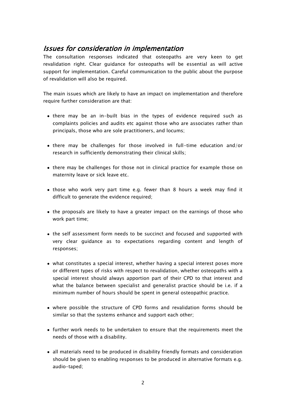### Issues for consideration in implementation

The consultation responses indicated that osteopaths are very keen to get revalidation right. Clear guidance for osteopaths will be essential as will active support for implementation. Careful communication to the public about the purpose of revalidation will also be required.

The main issues which are likely to have an impact on implementation and therefore require further consideration are that:

- there may be an in-built bias in the types of evidence required such as complaints policies and audits etc against those who are associates rather than principals, those who are sole practitioners, and locums;
- there may be challenges for those involved in full-time education and/or research in sufficiently demonstrating their clinical skills;
- there may be challenges for those not in clinical practice for example those on maternity leave or sick leave etc.
- those who work very part time e.g. fewer than 8 hours a week may find it difficult to generate the evidence required;
- the proposals are likely to have a greater impact on the earnings of those who work part time;
- the self assessment form needs to be succinct and focused and supported with very clear guidance as to expectations regarding content and length of responses;
- what constitutes a special interest, whether having a special interest poses more or different types of risks with respect to revalidation, whether osteopaths with a special interest should always apportion part of their CPD to that interest and what the balance between specialist and generalist practice should be i.e. if a minimum number of hours should be spent in general osteopathic practice.
- where possible the structure of CPD forms and revalidation forms should be similar so that the systems enhance and support each other;
- further work needs to be undertaken to ensure that the requirements meet the needs of those with a disability.
- all materials need to be produced in disability friendly formats and consideration should be given to enabling responses to be produced in alternative formats e.g. audio-taped;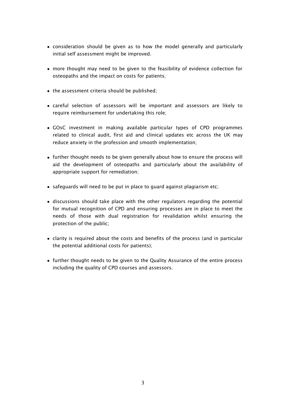- consideration should be given as to how the model generally and particularly initial self assessment might be improved.
- more thought may need to be given to the feasibility of evidence collection for osteopaths and the impact on costs for patients;
- the assessment criteria should be published;
- careful selection of assessors will be important and assessors are likely to require reimbursement for undertaking this role;
- GOsC investment in making available particular types of CPD programmes related to clinical audit, first aid and clinical updates etc across the UK may reduce anxiety in the profession and smooth implementation;
- further thought needs to be given generally about how to ensure the process will aid the development of osteopaths and particularly about the availability of appropriate support for remediation;
- safeguards will need to be put in place to guard against plagiarism etc;
- discussions should take place with the other regulators regarding the potential for mutual recognition of CPD and ensuring processes are in place to meet the needs of those with dual registration for revalidation whilst ensuring the protection of the public;
- clarity is required about the costs and benefits of the process (and in particular the potential additional costs for patients);
- further thought needs to be given to the Quality Assurance of the entire process including the quality of CPD courses and assessors.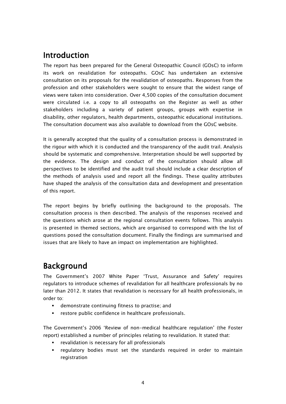## <span id="page-5-0"></span>Introduction

The report has been prepared for the General Osteopathic Council (GOsC) to inform its work on revalidation for osteopaths. GOsC has undertaken an extensive consultation on its proposals for the revalidation of osteopaths. Responses from the profession and other stakeholders were sought to ensure that the widest range of views were taken into consideration. Over 4,500 copies of the consultation document were circulated i.e. a copy to all osteopaths on the Register as well as other stakeholders including a variety of patient groups, groups with expertise in disability, other regulators, health departments, osteopathic educational institutions. The consultation document was also available to download from the GOsC website.

It is generally accepted that the quality of a consultation process is demonstrated in the rigour with which it is conducted and the transparency of the audit trail. Analysis should be systematic and comprehensive. Interpretation should be well supported by the evidence. The design and conduct of the consultation should allow all perspectives to be identified and the audit trail should include a clear description of the methods of analysis used and report all the findings. These quality attributes have shaped the analysis of the consultation data and development and presentation of this report.

The report begins by briefly outlining the background to the proposals. The consultation process is then described. The analysis of the responses received and the questions which arose at the regional consultation events follows. This analysis is presented in themed sections, which are organised to correspond with the list of questions posed the consultation document. Finally the findings are summarised and issues that are likely to have an impact on implementation are highlighted.

## <span id="page-5-1"></span>Background

The Government"s 2007 White Paper "Trust, Assurance and Safety" requires regulators to introduce schemes of revalidation for all healthcare professionals by no later than 2012. It states that revalidation is necessary for all health professionals, in order to:

- demonstrate continuing fitness to practise; and
- restore public confidence in healthcare professionals.

The Government"s 2006 "Review of non-medical healthcare regulation" (the Foster report) established a number of principles relating to revalidation. It stated that:

- revalidation is necessary for all professionals
- regulatory bodies must set the standards required in order to maintain registration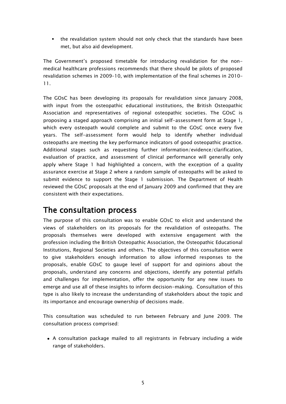• the revalidation system should not only check that the standards have been met, but also aid development.

The Government"s proposed timetable for introducing revalidation for the nonmedical healthcare professions recommends that there should be pilots of proposed revalidation schemes in 2009–10, with implementation of the final schemes in 2010– 11.

The GOsC has been developing its proposals for revalidation since January 2008, with input from the osteopathic educational institutions, the British Osteopathic Association and representatives of regional osteopathic societies. The GOsC is proposing a staged approach comprising an initial self-assessment form at Stage 1, which every osteopath would complete and submit to the GOsC once every five years. The self-assessment form would help to identify whether individual osteopaths are meeting the key performance indicators of good osteopathic practice. Additional stages such as requesting further information/evidence/clarification, evaluation of practice, and assessment of clinical performance will generally only apply where Stage 1 had highlighted a concern, with the exception of a quality assurance exercise at Stage 2 where a random sample of osteopaths will be asked to submit evidence to support the Stage 1 submission. The Department of Health reviewed the GOsC proposals at the end of January 2009 and confirmed that they are consistent with their expectations.

## <span id="page-6-0"></span>The consultation process

The purpose of this consultation was to enable GOsC to elicit and understand the views of stakeholders on its proposals for the revalidation of osteopaths. The proposals themselves were developed with extensive engagement with the profession including the British Osteopathic Association, the Osteopathic Educational Institutions, Regional Societies and others. The objectives of this consultation were to give stakeholders enough information to allow informed responses to the proposals, enable GOsC to gauge level of support for and opinions about the proposals, understand any concerns and objections, identify any potential pitfalls and challenges for implementation, offer the opportunity for any new issues to emerge and use all of these insights to inform decision-making. Consultation of this type is also likely to increase the understanding of stakeholders about the topic and its importance and encourage ownership of decisions made.

This consultation was scheduled to run between February and June 2009. The consultation process comprised:

A consultation package mailed to all registrants in February including a wide range of stakeholders.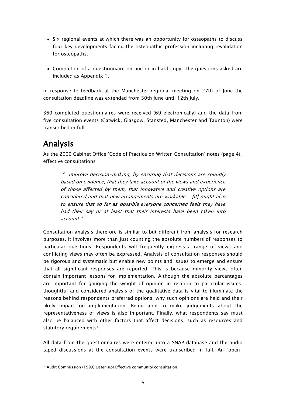- Six regional events at which there was an opportunity for osteopaths to discuss four key developments facing the osteopathic profession including revalidation for osteopaths.
- Completion of a questionnaire on line or in hard copy. The questions asked are included as Appendix 1.

In response to feedback at the Manchester regional meeting on 27th of June the consultation deadline was extended from 30th June until 12th July.

360 completed questionnaires were received (69 electronically) and the data from five consultation events (Gatwick, Glasgow, Stansted, Manchester and Taunton) were transcribed in full.

## <span id="page-7-0"></span>Analysis

-

As the 2000 Cabinet Office "Code of Practice on Written Consultation" notes (page 4), effective consultations

"…improve decision-making, by ensuring that decisions are soundly based on evidence, that they take account of the views and experience of those affected by them, that innovative and creative options are considered and that new arrangements are workable… [it] ought also to ensure that so far as possible everyone concerned feels they have had their say or at least that their interests have been taken into account."

Consultation analysis therefore is similar to but different from analysis for research purposes. It involves more than just counting the absolute numbers of responses to particular questions. Respondents will frequently express a range of views and conflicting views may often be expressed. Analysis of consultation responses should be rigorous and systematic but enable new points and issues to emerge and ensure that all significant responses are reported. This is because minority views often contain important lessons for implementation. Although the absolute percentages are important for gauging the weight of opinion in relation to particular issues, thoughtful and considered analysis of the qualitative data is vital to illuminate the reasons behind respondents preferred options, why such opinions are held and their likely impact on implementation. Being able to make judgements about the representativeness of views is also important. Finally, what respondents say must also be balanced with other factors that affect decisions, such as resources and statutory requirements<sup>1</sup>.

All data from the questionnaires were entered into a SNAP database and the audio taped discussions at the consultation events were transcribed in full. An "open-

<sup>&</sup>lt;sup>1</sup> Audit Commission (1999) Listen up! Effective community consultation.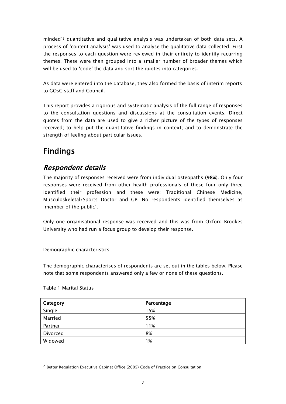minded"<sup>2</sup> quantitative and qualitative analysis was undertaken of both data sets. A process of "content analysis" was used to analyse the qualitative data collected. First the responses to each question were reviewed in their entirety to identify recurring themes. These were then grouped into a smaller number of broader themes which will be used to 'code' the data and sort the quotes into categories.

As data were entered into the database, they also formed the basis of interim reports to GOsC staff and Council.

This report provides a rigorous and systematic analysis of the full range of responses to the consultation questions and discussions at the consultation events. Direct quotes from the data are used to give a richer picture of the types of responses received; to help put the quantitative findings in context; and to demonstrate the strength of feeling about particular issues.

# <span id="page-8-0"></span>Findings

## <span id="page-8-1"></span>Respondent details

The majority of responses received were from individual osteopaths (98%). Only four responses were received from other health professionals of these four only three identified their profession and these were: Traditional Chinese Medicine, Musculoskeletal/Sports Doctor and GP. No respondents identified themselves as 'member of the public'.

Only one organisational response was received and this was from Oxford Brookes University who had run a focus group to develop their response.

#### <span id="page-8-2"></span>Demographic characteristics

The demographic characterises of respondents are set out in the tables below. Please note that some respondents answered only a few or none of these questions.

| Category | Percentage |
|----------|------------|
| Single   | 15%        |
| Married  | 55%        |
| Partner  | 11%        |
| Divorced | 8%         |
| Widowed  | 1%         |

#### Table 1 Marital Status

-

<sup>2</sup> Better Regulation Executive Cabinet Office (2005) Code of Practice on Consultation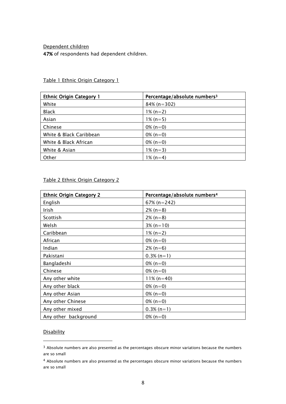#### Dependent children

47% of respondents had dependent children.

| <b>Ethnic Origin Category 1</b> | Percentage/absolute numbers <sup>3</sup> |
|---------------------------------|------------------------------------------|
| White                           | $84\%$ (n=302)                           |
| <b>Black</b>                    | $1\%$ (n=2)                              |
| Asian                           | $1\%$ (n=5)                              |
| Chinese                         | $0\%$ (n=0)                              |
| White & Black Caribbean         | $0\%$ (n=0)                              |
| White & Black African           | $0\%$ (n=0)                              |
| White & Asian                   | $1\%$ (n=3)                              |
| Other                           | $1\%$ (n=4)                              |

<span id="page-9-0"></span>Table 1 Ethnic Origin Category 1

#### Table 2 Ethnic Origin Category 2

| <b>Ethnic Origin Category 2</b> | Percentage/absolute numbers <sup>4</sup> |
|---------------------------------|------------------------------------------|
| English                         | $67\%$ (n=242)                           |
| Irish                           | $2\%$ (n=8)                              |
| Scottish                        | $2\%$ (n=8)                              |
| Welsh                           | $3\%$ (n=10)                             |
| Caribbean                       | $1\% (n=2)$                              |
| African                         | $0\%$ (n=0)                              |
| Indian                          | $2\%$ (n=6)                              |
| Pakistani                       | $0.3\%$ (n=1)                            |
| Bangladeshi                     | $0\%$ (n=0)                              |
| Chinese                         | $0\%$ (n=0)                              |
| Any other white                 | $11\%$ (n=40)                            |
| Any other black                 | $0\%$ (n=0)                              |
| Any other Asian                 | $0\%$ (n=0)                              |
| Any other Chinese               | $0\%$ (n=0)                              |
| Any other mixed                 | $0.3\%$ (n=1)                            |
| Any other background            | $0\%$ (n=0)                              |

#### **Disability**

-

<sup>&</sup>lt;sup>3</sup> Absolute numbers are also presented as the percentages obscure minor variations because the numbers are so small

<sup>4</sup> Absolute numbers are also presented as the percentages obscure minor variations because the numbers are so small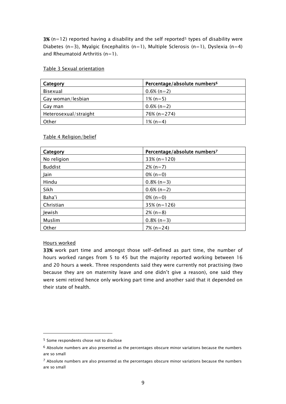3% (n=12) reported having a disability and the self reported<sup>5</sup> types of disability were Diabetes (n=3), Myalgic Encephalitis (n=1), Multiple Sclerosis (n=1), Dyslexia (n=4) and Rheumatoid Arthritis  $(n=1)$ .

#### Table 3 Sexual orientation

| Category              | Percentage/absolute numbers <sup>6</sup> |
|-----------------------|------------------------------------------|
| Bisexual              | $0.6\%$ (n=2)                            |
| Gay woman/lesbian     | $1\%$ (n=5)                              |
| Gay man               | $0.6\%$ (n=2)                            |
| Heterosexual/straight | $76\%$ (n=274)                           |
| Other                 | $1\%$ (n=4)                              |

#### Table 4 Religion/belief

| Category       | Percentage/absolute numbers <sup>7</sup> |
|----------------|------------------------------------------|
| No religion    | $33\%$ (n=120)                           |
| <b>Buddist</b> | $2\%$ (n=7)                              |
| Jain           | $0\%$ (n=0)                              |
| Hindu          | $0.8\%$ (n=3)                            |
| Sikh           | $0.6\%$ (n=2)                            |
| Baha'i         | 0% $(n=0)$                               |
| Christian      | $35\%$ (n=126)                           |
| Jewish         | $2\%$ (n=8)                              |
| Muslim         | $0.8\%$ (n=3)                            |
| Other          | $7\%$ (n=24)                             |

#### Hours worked

-

33% work part time and amongst those self-defined as part time, the number of hours worked ranges from 5 to 45 but the majority reported working between 16 and 20 hours a week. Three respondents said they were currently not practising (two because they are on maternity leave and one didn"t give a reason), one said they were semi retired hence only working part time and another said that it depended on their state of health.

<sup>5</sup> Some respondents chose not to disclose

 $6$  Absolute numbers are also presented as the percentages obscure minor variations because the numbers are so small

<sup>7</sup> Absolute numbers are also presented as the percentages obscure minor variations because the numbers are so small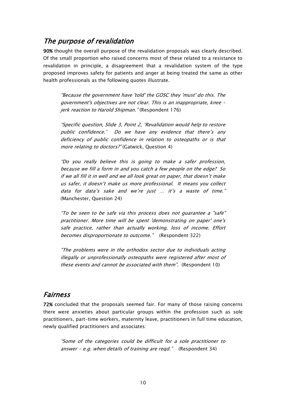### <span id="page-11-0"></span>The purpose of revalidation

90% thought the overall purpose of the revalidation proposals was clearly described. Of the small proportion who raised concerns most of these related to a resistance to revalidation in principle, a disagreement that a revalidation system of the type proposed improves safety for patients and anger at being treated the same as other health professionals as the following quotes illustrate.

"Because the government have 'told' the GOSC they 'must' do this. The government's objectives are not clear. This is an inappropriate, knee jerk reaction to Harold Shipman." (Respondent 176)

"Specific question, Slide 3, Point 2, "Revalidation would help to restore public confidence.' Do we have any evidence that there's any deficiency of public confidence in relation to osteopaths or is that more relating to doctors?" (Gatwick, Question 4)

"Do you really believe this is going to make a safer profession, because we fill a form in and you catch a few people on the edge? So if we all fill it in well and we all look great on paper, that doesn"t make us safer, it doesn"t make us more professional. It means you collect data for data's sake and we're just ... it's a waste of time." (Manchester, Question 24)

"To be seen to be safe via this process does not guarantee a "safe" practitioner. More time will be spent 'demonstrating on paper' one's safe practice, rather than actually working, loss of income. Effort becomes disproportionate to outcome." (Respondent 322)

"The problems were in the orthodox sector due to individuals acting illegally or unprofessionally osteopaths were registered after most of these events and cannot be associated with them". (Respondent 10)

### <span id="page-11-1"></span>Fairness

72% concluded that the proposals seemed fair. For many of those raising concerns there were anxieties about particular groups within the profession such as sole practitioners, part-time workers, maternity leave, practitioners in full time education, newly qualified practitioners and associates:

"Some of the categories could be difficult for a sole practitioner to answer - e.g. when details of training are reqd."  $($ Respondent 34 $)$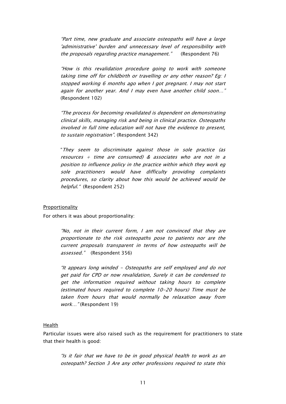"Part time, new graduate and associate osteopaths will have a large 'administrative' burden and unnecessary level of responsibility with the proposals regarding practice management." (Respondent 76)

"How is this revalidation procedure going to work with someone taking time off for childbirth or travelling or any other reason? Eg: I stopped working 6 months ago when I got pregnant. I may not start again for another year. And I may even have another child soon…" (Respondent 102)

"The process for becoming revalidated is dependent on demonstrating clinical skills, managing risk and being in clinical practice. Osteopaths involved in full time education will not have the evidence to present, to sustain registration". (Respondent 342)

"They seem to discriminate against those in sole practice (as resources  $+$  time are consumed) & associates who are not in a position to influence policy in the practice within which they work eg sole practitioners would have difficulty providing complaints procedures, so clarity about how this would be achieved would be helpful." (Respondent 252)

#### <span id="page-12-0"></span>**Proportionality**

For others it was about proportionality:

"No, not in their current form, I am not convinced that they are proportionate to the risk osteopaths pose to patients nor are the current proposals transparent in terms of how osteopaths will be assessed." (Respondent 356)

"It appears long winded - Osteopaths are self employed and do not get paid for CPD or now revalidation, Surely it can be condensed to get the information required without taking hours to complete (estimated hours required to complete 10-20 hours) Time must be taken from hours that would normally be relaxation away from work..." (Respondent 19)

#### <span id="page-12-1"></span>Health

Particular issues were also raised such as the requirement for practitioners to state that their health is good:

"Is it fair that we have to be in good physical health to work as an osteopath? Section 3 Are any other professions required to state this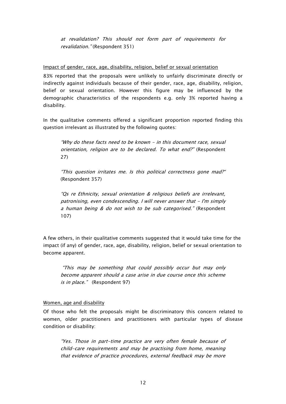at revalidation? This should not form part of requirements for revalidation." (Respondent 351)

<span id="page-13-0"></span>Impact of gender, race, age, disability, religion, belief or sexual orientation

83% reported that the proposals were unlikely to unfairly discriminate directly or indirectly against individuals because of their gender, race, age, disability, religion, belief or sexual orientation. However this figure may be influenced by the demographic characteristics of the respondents e.g. only 3% reported having a disability.

In the qualitative comments offered a significant proportion reported finding this question irrelevant as illustrated by the following quotes:

"Why do these facts need to be known - in this document race, sexual orientation, religion are to be declared. To what end?" (Respondent 27)

"This question irritates me. Is this political correctness gone mad?" (Respondent 357)

"Qs re Ethnicity, sexual orientation & religious beliefs are irrelevant, patronising, even condescending. I will never answer that - I'm simply a human being & do not wish to be sub categorised." (Respondent 107)

A few others, in their qualitative comments suggested that it would take time for the impact (if any) of gender, race, age, disability, religion, belief or sexual orientation to become apparent.

"This may be something that could possibly occur but may only become apparent should a case arise in due course once this scheme is in place." (Respondent 97)

#### <span id="page-13-1"></span>Women, age and disability

Of those who felt the proposals might be discriminatory this concern related to women, older practitioners and practitioners with particular types of disease condition or disability:

"Yes. Those in part-time practice are very often female because of child-care requirements and may be practising from home, meaning that evidence of practice procedures, external feedback may be more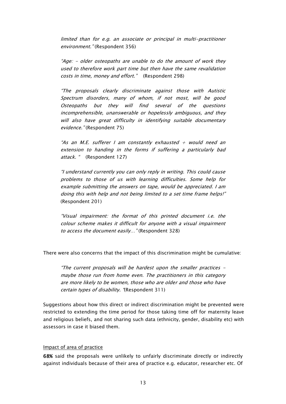limited than for e.g. an associate or principal in multi-practitioner environment." (Respondent 356)

"Age: - older osteopaths are unable to do the amount of work they used to therefore work part time but then have the same revalidation costs in time, money and effort." (Respondent 298)

"The proposals clearly discriminate against those with Autistic Spectrum disorders, many of whom, if not most, will be good Osteopaths but they will find several of the questions incomprehensible, unanswerable or hopelessly ambiguous, and they will also have great difficulty in identifying suitable documentary evidence." (Respondent 75)

"As an M.E. sufferer I am constantly exhausted  $+$  would need an extension to handing in the forms if suffering a particularly bad attack. " (Respondent 127)

"I understand currently you can only reply in writing. This could cause problems to those of us with learning difficulties. Some help for example submitting the answers on tape, would be appreciated. I am doing this with help and not being limited to a set time frame helps!" (Respondent 201)

"Visual impairment: the format of this printed document i.e. the colour scheme makes it difficult for anyone with a visual impairment to access the document easily..." (Respondent 328)

There were also concerns that the impact of this discrimination might be cumulative:

"The current proposals will be hardest upon the smaller practices maybe those run from home even. The practitioners in this category are more likely to be women, those who are older and those who have certain types of disability. "(Respondent 311)

Suggestions about how this direct or indirect discrimination might be prevented were restricted to extending the time period for those taking time off for maternity leave and religious beliefs, and not sharing such data (ethnicity, gender, disability etc) with assessors in case it biased them.

#### <span id="page-14-0"></span>Impact of area of practice

68% said the proposals were unlikely to unfairly discriminate directly or indirectly against individuals because of their area of practice e.g. educator, researcher etc. Of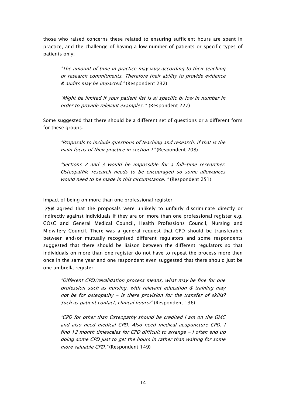those who raised concerns these related to ensuring sufficient hours are spent in practice, and the challenge of having a low number of patients or specific types of patients only:

"The amount of time in practice may vary according to their teaching or research commitments. Therefore their ability to provide evidence & audits may be impacted." (Respondent 232)

"Might be limited if your patient list is a) specific b) low in number in order to provide relevant examples. " (Respondent 227)

Some suggested that there should be a different set of questions or a different form for these groups.

"Proposals to include questions of teaching and research, if that is the main focus of their practice in section 1" (Respondent 208)

"Sections 2 and 3 would be impossible for a full-time researcher. Osteopathic research needs to be encouraged so some allowances would need to be made in this circumstance. " (Respondent 251)

#### <span id="page-15-0"></span>Impact of being on more than one professional register

 75% agreed that the proposals were unlikely to unfairly discriminate directly or indirectly against individuals if they are on more than one professional register e.g. GOsC and General Medical Council, Health Professions Council, Nursing and Midwifery Council. There was a general request that CPD should be transferable between and/or mutually recognised different regulators and some respondents suggested that there should be liaison between the different regulators so that individuals on more than one register do not have to repeat the process more then once in the same year and one respondent even suggested that there should just be one umbrella register:

"Different CPD/revalidation process means, what may be fine for one profession such as nursing, with relevant education & training may not be for osteopathy - is there provision for the transfer of skills? Such as patient contact, clinical hours?" (Respondent 136)

"CPD for other than Osteopathy should be credited I am on the GMC and also need medical CPD. Also need medical acupuncture CPD. I find 12 month timescales for CPD difficult to arrange - I often end up doing some CPD just to get the hours in rather than waiting for some more valuable CPD." (Respondent 149)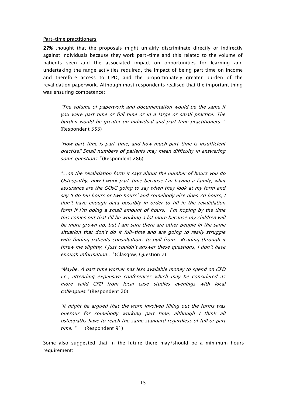#### <span id="page-16-0"></span>Part-time practitioners

27% thought that the proposals might unfairly discriminate directly or indirectly against individuals because they work part-time and this related to the volume of patients seen and the associated impact on opportunities for learning and undertaking the range activities required, the impact of being part time on income and therefore access to CPD, and the proportionately greater burden of the revalidation paperwork. Although most respondents realised that the important thing was ensuring competence:

"The volume of paperwork and documentation would be the same if you were part time or full time or in a large or small practice. The burden would be greater on individual and part time practitioners. " (Respondent 353)

"How part-time is part-time, and how much part-time is insufficient practise? Small numbers of patients may mean difficulty in answering some questions." (Respondent 286)

"…on the revalidation form it says about the number of hours you do Osteopathy, now I work part-time because I"m having a family, what assurance are the GOsC going to say when they look at my form and say 'I do ten hours or two hours' and somebody else does 70 hours, I don"t have enough data possibly in order to fill in the revalidation form if I"m doing a small amount of hours. I"m hoping by the time this comes out that I"ll be working a lot more because my children will be more grown up, but I am sure there are other people in the same situation that don't do it full-time and are going to really struggle with finding patients consultations to pull from. Reading through it threw me slightly, I just couldn"t answer these questions, I don"t have enough information..." (Glasgow, Question 7)

"Maybe. A part time worker has less available money to spend on CPD i.e., attending expensive conferences which may be considered as more valid CPD from local case studies evenings with local colleagues." (Respondent 20)

"It might be argued that the work involved filling out the forms was onerous for somebody working part time, although I think all osteopaths have to reach the same standard regardless of full or part time. " (Respondent 91)

Some also suggested that in the future there may/should be a minimum hours requirement: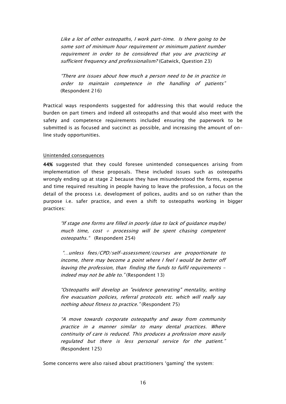Like a lot of other osteopaths, I work part-time. Is there going to be some sort of minimum hour requirement or minimum patient number requirement in order to be considered that you are practicing at sufficient frequency and professionalism? (Gatwick, Question 23)

"There are issues about how much a person need to be in practice in order to maintain competence in the handling of patients" (Respondent 216)

Practical ways respondents suggested for addressing this that would reduce the burden on part timers and indeed all osteopaths and that would also meet with the safety and competence requirements included ensuring the paperwork to be submitted is as focused and succinct as possible, and increasing the amount of online study opportunities.

#### <span id="page-17-0"></span>Unintended consequences

44% suggested that they could foresee unintended consequences arising from implementation of these proposals. These included issues such as osteopaths wrongly ending up at stage 2 because they have misunderstood the forms, expense and time required resulting in people having to leave the profession, a focus on the detail of the process i.e. development of polices, audits and so on rather than the purpose i.e. safer practice, and even a shift to osteopaths working in bigger practices:

"If stage one forms are filled in poorly (due to lack of guidance maybe) much time, cost + processing will be spent chasing competent osteopaths." (Respondent 254)

"…unless fees/CPD/self-assessment/courses are proportionate to income, there may become a point where I feel I would be better off leaving the profession, than finding the funds to fulfil requirements indeed may not be able to." (Respondent 13)

"Osteopaths will develop an "evidence generating" mentality, writing fire evacuation policies, referral protocols etc. which will really say nothing about fitness to practice." (Respondent 75)

"A move towards corporate osteopathy and away from community practice in a manner similar to many dental practices. Where continuity of care is reduced. This produces a profession more easily regulated but there is less personal service for the patient." (Respondent 125)

Some concerns were also raised about practitioners "gaming" the system: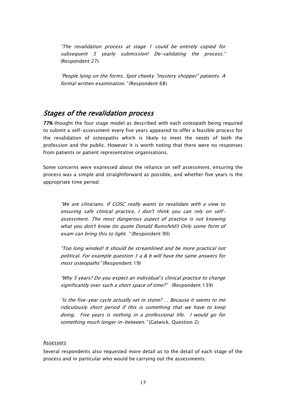"The revalidation process at stage 1 could be entirely copied for subsequent 5 yearly submission! De-validating the process." (Respondent 27)

"People lying on the forms. Spot cheeky "mystery shopper" patients. A formal written examination." (Respondent 68)

### <span id="page-18-0"></span>Stages of the revalidation process

77% thought the four stage model as described with each osteopath being required to submit a self-assessment every five years appeared to offer a feasible process for the revalidation of osteopaths which is likely to meet the needs of both the profession and the public. However it is worth noting that there were no responses from patients or patient representative organisations.

Some concerns were expressed about the reliance on self assessment, ensuring the process was a simple and straightforward as possible, and whether five years is the appropriate time period:

"We are clinicians. If GOSC really wants to revalidate with a view to ensuring safe clinical practice, I don't think you can rely on selfassessment. The most dangerous aspect of practice is not knowing what you don't know (to quote Donald Rumsfeld!) Only some form of exam can bring this to light. "(Respondent 90)

"Too long winded! It should be streamlined and be more practical not political. For example question 1 a & b will have the same answers for most osteopaths" (Respondent 19)

"Why 5 years? Do you expect an individual"s clinical practice to change significantly over such a short space of time?" (Respondent 139)

"Is the five-year cycle actually set in stone? … Because it seems to me ridiculously short period if this is something that we have to keep doing. Five years is nothing in a professional life. I would go for something much longer in-between." (Gatwick, Question 2)

#### <span id="page-18-1"></span>Assessors

Several respondents also requested more detail as to the detail of each stage of the process and in particular who would be carrying out the assessments: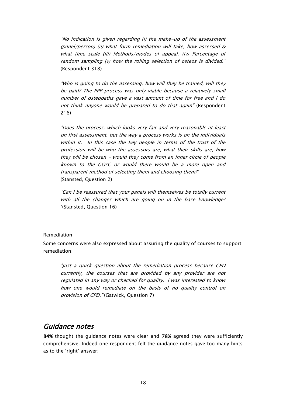"No indication is given regarding (i) the make-up of the assessment (panel/person) (ii) what form remediation will take, how assessed & what time scale (iii) Methods/modes of appeal. (iv) Percentage of random sampling (v) how the rolling selection of osteos is divided." (Respondent 318)

"Who is going to do the assessing, how will they be trained, will they be paid? The PPP process was only viable because a relatively small number of osteopaths gave a vast amount of time for free and I do not think anyone would be prepared to do that again" (Respondent 216)

"Does the process, which looks very fair and very reasonable at least on first assessment, but the way a process works is on the individuals within it. In this case the key people in terms of the trust of the profession will be who the assessors are, what their skills are, how they will be chosen - would they come from an inner circle of people known to the GOsC or would there would be a more open and transparent method of selecting them and choosing them?" (Stansted, Question 2)

"Can I be reassured that your panels will themselves be totally current with all the changes which are going on in the base knowledge? "(Stansted, Question 16)

#### <span id="page-19-0"></span>Remediation

Some concerns were also expressed about assuring the quality of courses to support remediation:

"Just a quick question about the remediation process because CPD currently, the courses that are provided by any provider are not regulated in any way or checked for quality. I was interested to know how one would remediate on the basis of no quality control on provision of CPD." (Gatwick, Question 7)

### <span id="page-19-1"></span>Guidance notes

84% thought the guidance notes were clear and 78% agreed they were sufficiently comprehensive. Indeed one respondent felt the guidance notes gave too many hints as to the 'right' answer: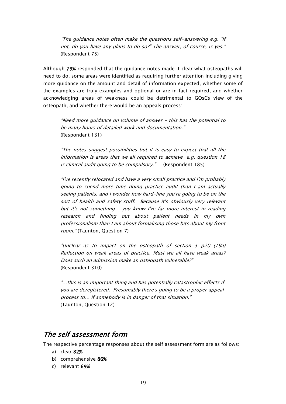"The guidance notes often make the questions self-answering e.g. "if not, do you have any plans to do so?" The answer, of course, is yes." (Respondent 75)

Although 79% responded that the guidance notes made it clear what osteopaths will need to do, some areas were identified as requiring further attention including giving more guidance on the amount and detail of information expected, whether some of the examples are truly examples and optional or are in fact required, and whether acknowledging areas of weakness could be detrimental to GOsCs view of the osteopath, and whether there would be an appeals process:

"Need more guidance on volume of answer - this has the potential to be many hours of detailed work and documentation." (Respondent 131)

"The notes suggest possibilities but it is easy to expect that all the information is areas that we all required to achieve e.g. question 18 is clinical audit going to be compulsory." (Respondent 185)

"I've recently relocated and have a very small practice and I'm probably going to spend more time doing practice audit than I am actually seeing patients, and I wonder how hard-line you're going to be on the sort of health and safety stuff. Because it's obviously very relevant but it's not something… you know I've far more interest in reading research and finding out about patient needs in my own professionalism than I am about formalising those bits about my front room." (Taunton, Question 7)

"Unclear as to impact on the osteopath of section 5 p20 (19a) Reflection on weak areas of practice. Must we all have weak areas? Does such an admission make an osteopath vulnerable?" (Respondent 310)

"…this is an important thing and has potentially catastrophic effects if you are deregistered. Presumably there's going to be a proper appeal process to… if somebody is in danger of that situation." (Taunton, Question 12)

### <span id="page-20-0"></span>The self assessment form

The respective percentage responses about the self assessment form are as follows:

- a) clear 82%
- b) comprehensive 86%
- c) relevant 69%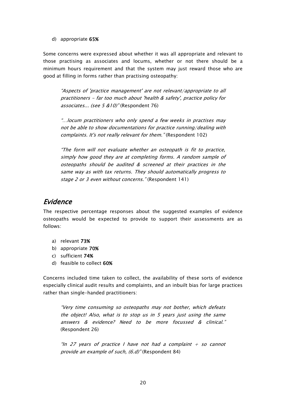#### d) appropriate 65%

Some concerns were expressed about whether it was all appropriate and relevant to those practising as associates and locums, whether or not there should be a minimum hours requirement and that the system may just reward those who are good at filling in forms rather than practising osteopathy:

"Aspects of 'practice management' are not relevant/appropriate to all practitioners - far too much about 'health & safety', practice policy for associates... (see 5 &10)" (Respondent 76)

"…locum practitioners who only spend a few weeks in practises may not be able to show documentations for practice running/dealing with complaints. It's not really relevant for them." (Respondent 102)

"The form will not evaluate whether an osteopath is fit to practice, simply how good they are at completing forms. A random sample of osteopaths should be audited & screened at their practices in the same way as with tax returns. They should automatically progress to stage 2 or 3 even without concerns." (Respondent 141)

### <span id="page-21-0"></span>Evidence

The respective percentage responses about the suggested examples of evidence osteopaths would be expected to provide to support their assessments are as follows:

- a) relevant 73%
- b) appropriate 70%
- c) sufficient 74%
- d) feasible to collect 60%

Concerns included time taken to collect, the availability of these sorts of evidence especially clinical audit results and complaints, and an inbuilt bias for large practices rather than single-handed practitioners:

"Very time consuming so osteopaths may not bother, which defeats the object! Also, what is to stop us in 5 years just using the same answers & evidence? Need to be more focussed & clinical." (Respondent 26)

"In 27 years of practice I have not had a complaint  $+$  so cannot provide an example of such, (6.d)" (Respondent 84)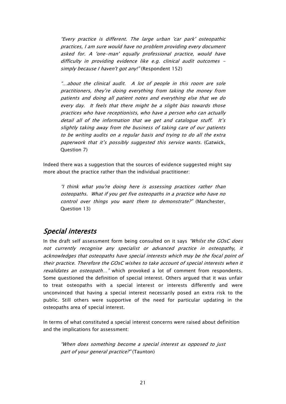"Every practice is different. The large urban 'car park' osteopathic practices, I am sure would have no problem providing every document asked for. A 'one-man' equally professional practice, would have difficulty in providing evidence like e.g. clinical audit outcomes simply because I haven't got any!" (Respondent 152)

"…about the clinical audit. A lot of people in this room are sole practitioners, they"re doing everything from taking the money from patients and doing all patient notes and everything else that we do every day. It feels that there might be a slight bias towards those practices who have receptionists, who have a person who can actually detail all of the information that we get and catalogue stuff. It's slightly taking away from the business of taking care of our patients to be writing audits on a regular basis and trying to do all the extra paperwork that it's possibly suggested this service wants. (Gatwick, Question 7)

Indeed there was a suggestion that the sources of evidence suggested might say more about the practice rather than the individual practitioner:

"I think what you're doing here is assessing practices rather than osteopaths. What if you get five osteopaths in a practice who have no control over things you want them to demonstrate?" (Manchester, Question 13)

### <span id="page-22-0"></span>Special interests

In the draft self assessment form being consulted on it says "Whilst the GOsC does not currently recognise any specialist or advanced practice in osteopathy, it acknowledges that osteopaths have special interests which may be the focal point of their practice. Therefore the GOsC wishes to take account of special interests when it revalidates an osteopath..." which provoked a lot of comment from respondents. Some questioned the definition of special interest. Others argued that it was unfair to treat osteopaths with a special interest or interests differently and were unconvinced that having a special interest necessarily posed an extra risk to the public. Still others were supportive of the need for particular updating in the osteopaths area of special interest.

In terms of what constituted a special interest concerns were raised about definition and the implications for assessment:

"When does something become a special interest as opposed to just part of your general practice?" (Taunton)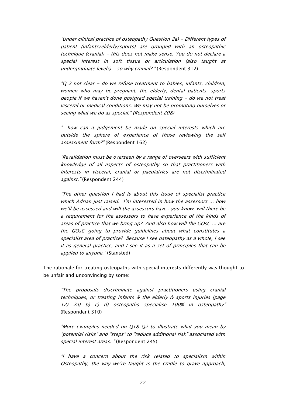"Under clinical practice of osteopathy Question 2a) - Different types of patient (infants/elderly/sports) are grouped with an osteopathic technique (cranial) - this does not make sense. You do not declare a special interest in soft tissue or articulation (also taught at undergraduate levels) - so why cranial? "(Respondent 312)

"Q 2 not clear - do we refuse treatment to babies, infants, children, women who may be pregnant, the elderly, dental patients, sports people if we haven't done postgrad special training - do we not treat visceral or medical conditions. We may not be promoting ourselves or seeing what we do as special." (Respondent 208)

"…how can a judgement be made on special interests which are outside the sphere of experience of those reviewing the self assessment form?" (Respondent 162)

"Revalidation must be overseen by a range of overseers with sufficient knowledge of all aspects of osteopathy so that practitioners with interests in visceral, cranial or paediatrics are not discriminated against." (Respondent 244)

"The other question I had is about this issue of specialist practice which Adrian just raised. I'm interested in how the assessors ... how we"ll be assessed and will the assessors have...you know, will there be a requirement for the assessors to have experience of the kinds of areas of practice that we bring up? And also how will the GOsC ... are the GOsC going to provide guidelines about what constitutes a specialist area of practice? Because I see osteopathy as a whole, I see it as general practice, and I see it as a set of principles that can be applied to anyone." (Stansted)

The rationale for treating osteopaths with special interests differently was thought to be unfair and unconvincing by some:

"The proposals discriminate against practitioners using cranial techniques, or treating infants & the elderly & sports injuries (page 12) 2a) b) c) d) osteopaths specialise 100% in osteopathy" (Respondent 310)

"More examples needed on Q18 Q2 to illustrate what you mean by "potential risks" and "steps" to "reduce additional risk" associated with special interest areas. "(Respondent 245)

"I have a concern about the risk related to specialism within Osteopathy, the way we"re taught is the cradle to grave approach,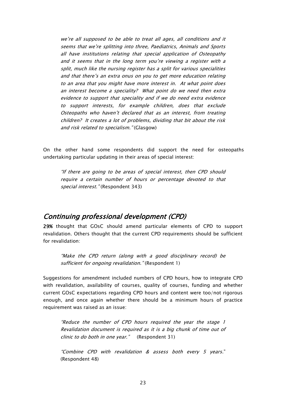we"re all supposed to be able to treat all ages, all conditions and it seems that we"re splitting into three, Paediatrics, Animals and Sports all have institutions relating that special application of Osteopathy and it seems that in the long term you"re viewing a register with a split, much like the nursing register has a split for various specialities and that there's an extra onus on you to get more education relating to an area that you might have more interest in. At what point does an interest become a speciality? What point do we need then extra evidence to support that speciality and if we do need extra evidence to support interests, for example children, does that exclude Osteopaths who haven"t declared that as an interest, from treating children? It creates a lot of problems, dividing that bit about the risk and risk related to specialism." (Glasgow)

On the other hand some respondents did support the need for osteopaths undertaking particular updating in their areas of special interest:

"If there are going to be areas of special interest, then CPD should require a certain number of hours or percentage devoted to that special interest." (Respondent 343)

### <span id="page-24-0"></span>Continuing professional development (CPD)

29% thought that GOsC should amend particular elements of CPD to support revalidation. Others thought that the current CPD requirements should be sufficient for revalidation:

"Make the CPD return (along with a good disciplinary record) be sufficient for ongoing revalidation." (Respondent 1)

Suggestions for amendment included numbers of CPD hours, how to integrate CPD with revalidation, availability of courses, quality of courses, funding and whether current GOsC expectations regarding CPD hours and content were too/not rigorous enough, and once again whether there should be a minimum hours of practice requirement was raised as an issue:

"Reduce the number of CPD hours required the year the stage 1 Revalidation document is required as it is a big chunk of time out of clinic to do both in one year." (Respondent 31)

"Combine CPD with revalidation & assess both every 5 years." (Respondent 48)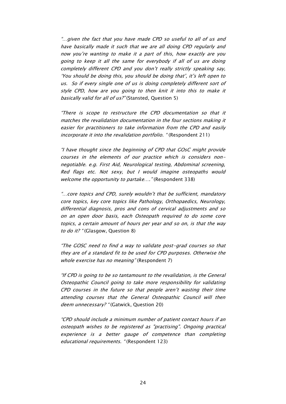"…given the fact that you have made CPD so useful to all of us and have basically made it such that we are all doing CPD regularly and now you"re wanting to make it a part of this, how exactly are you going to keep it all the same for everybody if all of us are doing completely different CPD and you don"t really strictly speaking say, 'You should be doing this, you should be doing that', it's left open to us. So if every single one of us is doing completely different sort of style CPD, how are you going to then knit it into this to make it basically valid for all of us?" (Stansted, Question 5)

"There is scope to restructure the CPD documentation so that it matches the revalidation documentation in the four sections making it easier for practitioners to take information from the CPD and easily incorporate it into the revalidation portfolio. "(Respondent 211)

"I have thought since the beginning of CPD that GOsC might provide courses in the elements of our practice which is considers nonnegotiable. e.g. First Aid, Neurological testing, Abdominal screening, Red flags etc. Not sexy, but I would imagine osteopaths would welcome the opportunity to partake...." (Respondent 338)

"…core topics and CPD, surely wouldn"t that be sufficient, mandatory core topics, key core topics like Pathology, Orthopaedics, Neurology, differential diagnosis, pros and cons of cervical adjustments and so on an open door basis, each Osteopath required to do some core topics, a certain amount of hours per year and so on, is that the way to do it? "(Glasgow, Question 8)

"The GOSC need to find a way to validate post-grad courses so that they are of a standard fit to be used for CPD purposes. Otherwise the whole exercise has no meaning" (Respondent 7)

"If CPD is going to be so tantamount to the revalidation, is the General Osteopathic Council going to take more responsibility for validating CPD courses in the future so that people aren"t wasting their time attending courses that the General Osteopathic Council will then deem unnecessary? "(Gatwick, Question 20)

"CPD should include a minimum number of patient contact hours if an osteopath wishes to be registered as "practising". Ongoing practical experience is a better gauge of competence than completing educational requirements. "(Respondent 123)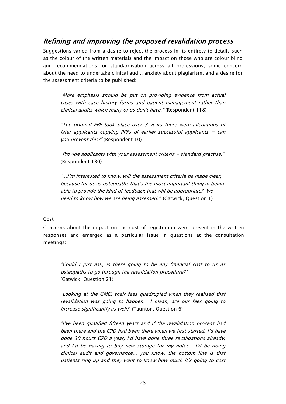### <span id="page-26-0"></span>Refining and improving the proposed revalidation process

Suggestions varied from a desire to reject the process in its entirety to details such as the colour of the written materials and the impact on those who are colour blind and recommendations for standardisation across all professions, some concern about the need to undertake clinical audit, anxiety about plagiarism, and a desire for the assessment criteria to be published:

"More emphasis should be put on providing evidence from actual cases with case history forms and patient management rather than clinical audits which many of us don't have." (Respondent 118)

"The original PPP took place over 3 years there were allegations of later applicants copying PPPs of earlier successful applicants  $=$  can you prevent this?" (Respondent 10)

"Provide applicants with your assessment criteria - standard practise." (Respondent 130)

"…I"m interested to know, will the assessment criteria be made clear, because for us as osteopaths that"s the most important thing in being able to provide the kind of feedback that will be appropriate? We need to know how we are being assessed." (Gatwick, Question 1)

#### <span id="page-26-1"></span>Cost

Concerns about the impact on the cost of registration were present in the written responses and emerged as a particular issue in questions at the consultation meetings:

"Could I just ask, is there going to be any financial cost to us as osteopaths to go through the revalidation procedure?" (Gatwick, Question 21)

"Looking at the GMC, their fees quadrupled when they realised that revalidation was going to happen. I mean, are our fees going to increase significantly as well?" (Taunton, Question 6)

"I"ve been qualified fifteen years and if the revalidation process had been there and the CPD had been there when we first started, I"d have done 30 hours CPD a year, I"d have done three revalidations already, and I"d be having to buy new storage for my notes. I"d be doing clinical audit and governance... you know, the bottom line is that patients ring up and they want to know how much it"s going to cost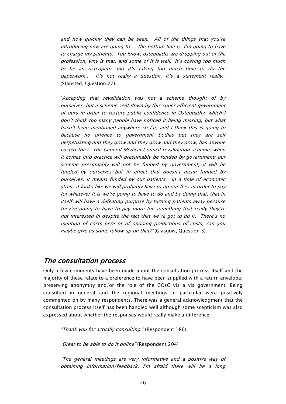and how quickly they can be seen. All of the things that you"re introducing now are going to ... the bottom line is, I"m going to have to charge my patients. You know, osteopaths are dropping out of the profession, why is that, and some of it is well, "It"s costing too much to be an osteopath and it"s taking too much time to do the paperwork'. It's not really a question, it's a statement really." (Stansted, Question 27)

"Accepting that revalidation was not a scheme thought of by ourselves, but a scheme sent down by this super efficient government of ours in order to restore public confidence in Osteopathy, which I don"t think too many people have noticed it being missing, but what hasn"t been mentioned anywhere so far, and I think this is going to because no offence to government bodies but they are self perpetuating and they grow and they grow and they grow, has anyone costed this? The General Medical Council revalidation scheme, when it comes into practice will presumably be funded by government; our scheme presumably will not be funded by government, it will be funded by ourselves but in effect that doesn"t mean funded by ourselves, it means funded by our patients. In a time of economic stress it looks like we will probably have to up our fees in order to pay for whatever it is we"re going to have to do and by doing that, that in itself will have a defeating purpose by turning patients away because they"re going to have to pay more for something that really they"re not interested in despite the fact that we"ve got to do it. There"s no mention of costs here or of ongoing predictions of costs, can you maybe give us some follow up on that?" (Glasgow, Question 3)

### <span id="page-27-0"></span>The consultation process

Only a few comments have been made about the consultation process itself and the majority of these relate to a preference to have been supplied with a return envelope, preserving anonymity and/or the role of the GOsC vis a vis government. Being consulted in general and the regional meetings in particular were positively commented on by many respondents. There was a general acknowledgment that the consultation process itself has been handled well although some scepticism was also expressed about whether the responses would really make a difference:

"Thank you for actually consulting." (Respondent 186)

"Great to be able to do it online" (Respondent 204)

"The general meetings are very informative and a positive way of obtaining information/feedback. I'm afraid there will be a long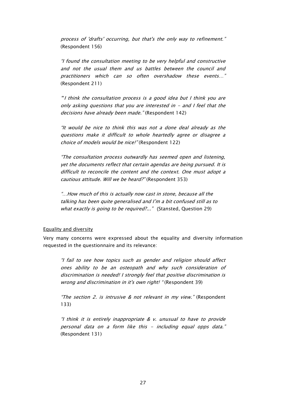process of 'drafts' occurring, but that's the only way to refinement." (Respondent 156)

"I found the consultation meeting to be very helpful and constructive and not the usual them and us battles between the council and practitioners which can so often overshadow these events…" (Respondent 211)

""I think the consultation process is a good idea but I think you are only asking questions that you are interested in - and I feel that the decisions have already been made." (Respondent 142)

"It would be nice to think this was not a done deal already as the questions make it difficult to whole heartedly agree or disagree a choice of models would be nice!" (Respondent 122)

"The consultation process outwardly has seemed open and listening, yet the documents reflect that certain agendas are being pursued. It is difficult to reconcile the content and the context. One must adopt a cautious attitude. Will we be heard?" (Respondent 353)

"…How much of this is actually now cast in stone, because all the talking has been quite generalised and I"m a bit confused still as to what exactly is going to be required?..." (Stansted, Question 29)

#### <span id="page-28-0"></span>Equality and diversity

Very many concerns were expressed about the equality and diversity information requested in the questionnaire and its relevance:

"I fail to see how topics such as gender and religion should affect ones ability to be an osteopath and why such consideration of discrimination is needed! I strongly feel that positive discrimination is wrong and discrimination in it's own right! " (Respondent 39)

"The section 2. is intrusive  $&$  not relevant in my view." (Respondent 133)

"I think it is entirely inappropriate & v. unusual to have to provide personal data on a form like this - including equal opps data." (Respondent 131)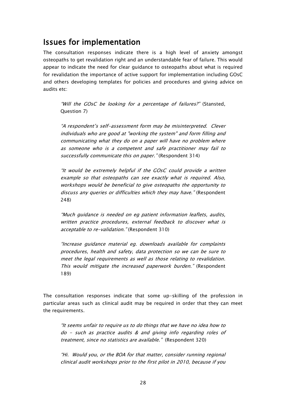## <span id="page-29-0"></span>Issues for implementation

The consultation responses indicate there is a high level of anxiety amongst osteopaths to get revalidation right and an understandable fear of failure. This would appear to indicate the need for clear guidance to osteopaths about what is required for revalidation the importance of active support for implementation including GOsC and others developing templates for policies and procedures and giving advice on audits etc:

"Will the GOsC be looking for a percentage of failures?" (Stansted, Question 7)

"A respondent"s self-assessment form may be misinterpreted. Clever individuals who are good at "working the system" and form filling and communicating what they do on a paper will have no problem where as someone who is a competent and safe practitioner may fail to successfully communicate this on paper." (Respondent 314)

"It would be extremely helpful if the GOsC could provide a written example so that osteopaths can see exactly what is required. Also, workshops would be beneficial to give osteopaths the opportunity to discuss any queries or difficulties which they may have." (Respondent 248)

"Much guidance is needed on eg patient information leaflets, audits, written practice procedures, external feedback to discover what is acceptable to re-validation." (Respondent 310)

"Increase guidance material eg. downloads available for complaints procedures, health and safety, data protection so we can be sure to meet the legal requirements as well as those relating to revalidation. This would mitigate the increased paperwork burden." (Respondent 189)

The consultation responses indicate that some up-skilling of the profession in particular areas such as clinical audit may be required in order that they can meet the requirements.

"It seems unfair to require us to do things that we have no idea how to do - such as practice audits & and giving info regarding roles of treatment, since no statistics are available." (Respondent 320)

"Hi. Would you, or the BOA for that matter, consider running regional clinical audit workshops prior to the first pilot in 2010, because if you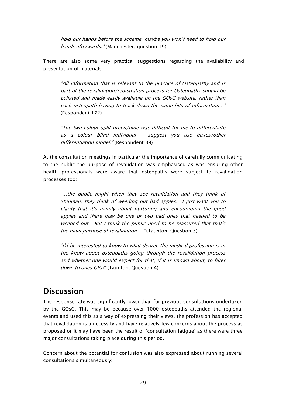hold our hands before the scheme, maybe you won"t need to hold our hands afterwards." (Manchester, question 19)

There are also some very practical suggestions regarding the availability and presentation of materials:

"All information that is relevant to the practice of Osteopathy and is part of the revalidation/registration process for Osteopaths should be collated and made easily available on the GOsC website, rather than each osteopath having to track down the same bits of information..." (Respondent 172)

"The two colour split green/blue was difficult for me to differentiate as a colour blind individual  $-$  suggest you use boxes/other differentiation model." (Respondent 89)

At the consultation meetings in particular the importance of carefully communicating to the public the purpose of revalidation was emphasised as was ensuring other health professionals were aware that osteopaths were subject to revalidation processes too:

"…the public might when they see revalidation and they think of Shipman, they think of weeding out bad apples. I just want you to clarify that it's mainly about nurturing and encouraging the good apples and there may be one or two bad ones that needed to be weeded out. But I think the public need to be reassured that that's the main purpose of revalidation...." (Taunton, Question 3)

"I'd be interested to know to what degree the medical profession is in the know about osteopaths going through the revalidation process and whether one would expect for that, if it is known about, to filter down to ones GPs?" (Taunton, Question 4)

## <span id="page-30-0"></span>**Discussion**

The response rate was significantly lower than for previous consultations undertaken by the GOsC. This may be because over 1000 osteopaths attended the regional events and used this as a way of expressing their views, the profession has accepted that revalidation is a necessity and have relatively few concerns about the process as proposed or it may have been the result of "consultation fatigue" as there were three major consultations taking place during this period.

Concern about the potential for confusion was also expressed about running several consultations simultaneously: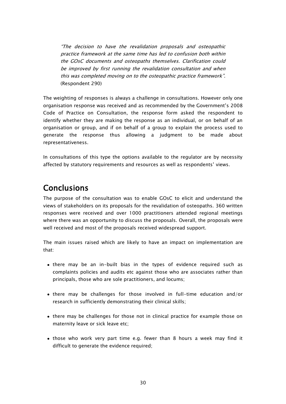"The decision to have the revalidation proposals and osteopathic practice framework at the same time has led to confusion both within the GOsC documents and osteopaths themselves. Clarification could be improved by first running the revalidation consultation and when this was completed moving on to the osteopathic practice framework". (Respondent 290)

The weighting of responses is always a challenge in consultations. However only one organisation response was received and as recommended by the Government"s 2008 Code of Practice on Consultation, the response form asked the respondent to identify whether they are making the response as an individual, or on behalf of an organisation or group, and if on behalf of a group to explain the process used to generate the response thus allowing a judgment to be made about representativeness.

In consultations of this type the options available to the regulator are by necessity affected by statutory requirements and resources as well as respondents" views.

## <span id="page-31-0"></span>Conclusions

The purpose of the consultation was to enable GOsC to elicit and understand the views of stakeholders on its proposals for the revalidation of osteopaths. 360 written responses were received and over 1000 practitioners attended regional meetings where there was an opportunity to discuss the proposals. Overall, the proposals were well received and most of the proposals received widespread support.

The main issues raised which are likely to have an impact on implementation are that:

- there may be an in-built bias in the types of evidence required such as complaints policies and audits etc against those who are associates rather than principals, those who are sole practitioners, and locums;
- there may be challenges for those involved in full-time education and/or research in sufficiently demonstrating their clinical skills;
- there may be challenges for those not in clinical practice for example those on maternity leave or sick leave etc;
- those who work very part time e.g. fewer than 8 hours a week may find it difficult to generate the evidence required;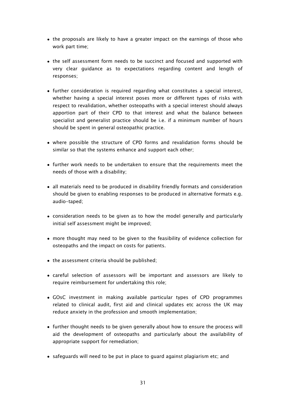- the proposals are likely to have a greater impact on the earnings of those who work part time;
- the self assessment form needs to be succinct and focused and supported with very clear guidance as to expectations regarding content and length of responses;
- further consideration is required regarding what constitutes a special interest, whether having a special interest poses more or different types of risks with respect to revalidation, whether osteopaths with a special interest should always apportion part of their CPD to that interest and what the balance between specialist and generalist practice should be i.e. if a minimum number of hours should be spent in general osteopathic practice.
- where possible the structure of CPD forms and revalidation forms should be similar so that the systems enhance and support each other;
- further work needs to be undertaken to ensure that the requirements meet the needs of those with a disability;
- all materials need to be produced in disability friendly formats and consideration should be given to enabling responses to be produced in alternative formats e.g. audio-taped;
- consideration needs to be given as to how the model generally and particularly initial self assessment might be improved;
- more thought may need to be given to the feasibility of evidence collection for osteopaths and the impact on costs for patients.
- the assessment criteria should be published;
- careful selection of assessors will be important and assessors are likely to require reimbursement for undertaking this role;
- GOsC investment in making available particular types of CPD programmes related to clinical audit, first aid and clinical updates etc across the UK may reduce anxiety in the profession and smooth implementation;
- further thought needs to be given generally about how to ensure the process will aid the development of osteopaths and particularly about the availability of appropriate support for remediation;
- safeguards will need to be put in place to guard against plagiarism etc; and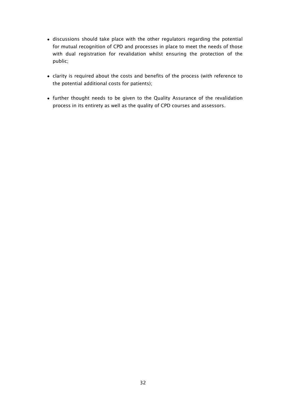- discussions should take place with the other regulators regarding the potential for mutual recognition of CPD and processes in place to meet the needs of those with dual registration for revalidation whilst ensuring the protection of the public;
- clarity is required about the costs and benefits of the process (with reference to the potential additional costs for patients);
- further thought needs to be given to the Quality Assurance of the revalidation process in its entirety as well as the quality of CPD courses and assessors.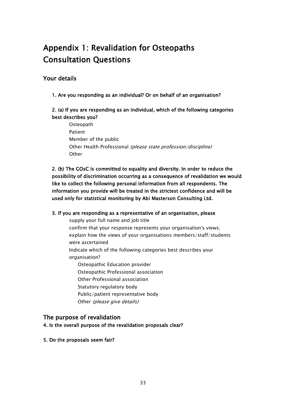# <span id="page-34-0"></span>Appendix 1: Revalidation for Osteopaths Consultation Questions

### Your details

1. Are you responding as an individual? Or on behalf of an organisation?

#### 2. (a) If you are responding as an individual, which of the following categories best describes you?

**Osteopath** Patient Member of the public Other Health Professional (please state profession/discipline) **Other** 

2. (b) The GOsC is committed to equality and diversity. In order to reduce the possibility of discrimination occurring as a consequence of revalidation we would like to collect the following personal information from all respondents. The information you provide will be treated in the strictest confidence and will be used only for statistical monitoring by Abi Masterson Consulting Ltd.

#### 3. If you are responding as a representative of an organisation, please

supply your full name and job title

confirm that your response represents your organisation's views; explain how the views of your organisations members/staff/students were ascertained

Indicate which of the following categories best describes your organisation?

Osteopathic Education provider Osteopathic Professional association Other Professional association Statutory regulatory body Public/patient representative body

Other (please give details)

#### The purpose of revalidation

4. Is the overall purpose of the revalidation proposals clear?

5. Do the proposals seem fair?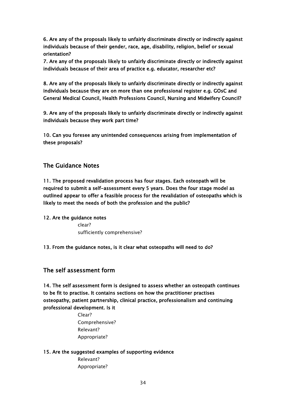6. Are any of the proposals likely to unfairly discriminate directly or indirectly against individuals because of their gender, race, age, disability, religion, belief or sexual orientation?

7. Are any of the proposals likely to unfairly discriminate directly or indirectly against individuals because of their area of practice e.g. educator, researcher etc?

8. Are any of the proposals likely to unfairly discriminate directly or indirectly against individuals because they are on more than one professional register e.g. GOsC and General Medical Council, Health Professions Council, Nursing and Midwifery Council?

9. Are any of the proposals likely to unfairly discriminate directly or indirectly against individuals because they work part time?

10. Can you foresee any unintended consequences arising from implementation of these proposals?

#### The Guidance Notes

11. The proposed revalidation process has four stages. Each osteopath will be required to submit a self-assessment every 5 years. Does the four stage model as outlined appear to offer a feasible process for the revalidation of osteopaths which is likely to meet the needs of both the profession and the public?

12. Are the guidance notes

clear? sufficiently comprehensive?

13. From the guidance notes, is it clear what osteopaths will need to do?

#### The self assessment form

14. The self assessment form is designed to assess whether an osteopath continues to be fit to practise. It contains sections on how the practitioner practises osteopathy, patient partnership, clinical practice, professionalism and continuing professional development. Is it

> Clear? Comprehensive? Relevant? Appropriate?

#### 15. Are the suggested examples of supporting evidence

Relevant? Appropriate?